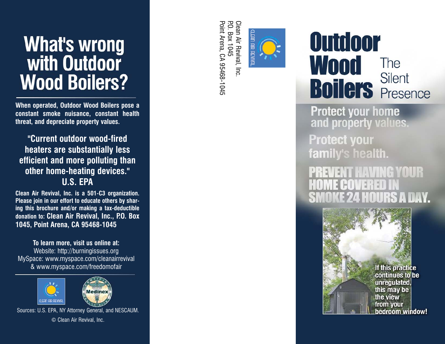# What's wrong with Outdoor **Wood Boilers?**

**When operated, Outdoor Wood Boilers pose a constant smoke nuisance, constant health threat, and depreciate property values.**

**"Current outdoor wood-fired heaters are substantially less efficient and more polluting than other home-heating devices." U.S. EPA**

**Clean Air Revival, Inc. is a 501-C3 organization. Please join in our effort to educate others by sharing this brochure and/or making a tax-deductible donation to: Clean Air Revival, Inc., P.O. Box 1045, Point Arena, CA 95468-1045**

**To learn more, visit us online at:** Website: http://burningissues.org MySpace: www.myspace.com/cleanairrevival & www.myspace.com/freedomofair





Sources: U.S. EPA, NY Attorney General, and NESCAUM. © Clean Air Revival, Inc.

Clean Air Revival, Inc<br>P.O. Box 1045 Point Arena, CA 95468-1045 Point Arena, CA 95468-1045 P.O. Box 1045 Clean Air Revival, Inc.



## Outdoor Wood The Silent **Boilers** Silent

**Protect your home** and property values.

**Protect your** family's health.